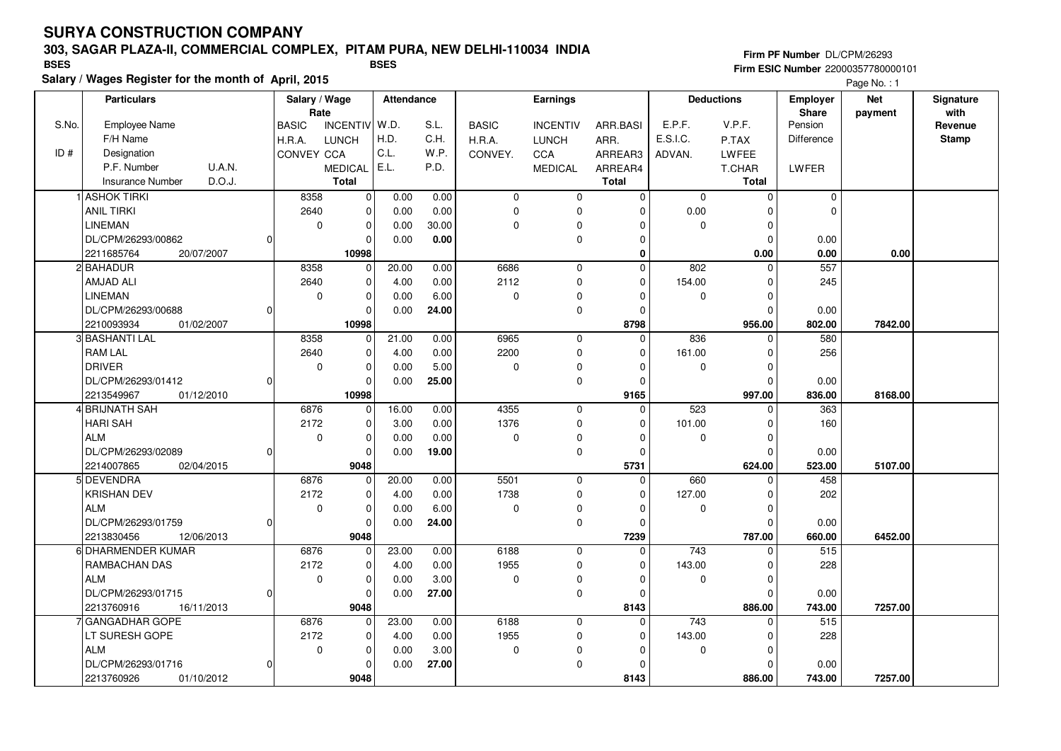### **303, SAGAR PLAZA-II, COMMERCIAL COMPLEX, PITAM PURA, NEW DELHI-110034 INDIA**

**Salary / Wages Register for the month of April, 2015**

### **Firm PF Number** DL/CPM/26293 **Firm ESIC Number** 22000357780000101 **BSES BSES**

|       | <b>Particulars</b>                |          |                   | Salary / Wage  |       | <b>Attendance</b><br>Rate |              |                     | Earnings     |                 |              | <b>Deductions</b> | Employer<br><b>Share</b> | <b>Net</b>   | Signature<br>with |
|-------|-----------------------------------|----------|-------------------|----------------|-------|---------------------------|--------------|---------------------|--------------|-----------------|--------------|-------------------|--------------------------|--------------|-------------------|
| S.No. | Employee Name                     |          | <b>BASIC</b>      | INCENTIV W.D.  |       | S.L.                      | <b>BASIC</b> | <b>INCENTIV</b>     | ARR.BASI     | E.P.F.          | V.P.F.       | Pension           | payment                  | Revenue      |                   |
|       | F/H Name                          |          | H.R.A.            | <b>LUNCH</b>   | H.D.  | C.H.                      | H.R.A.       | <b>LUNCH</b>        | ARR.         | E.S.I.C.        | P.TAX        | Difference        |                          | <b>Stamp</b> |                   |
| ID#   | Designation                       |          | <b>CONVEY CCA</b> |                | C.L.  | W.P.                      | CONVEY.      | CCA                 | ARREAR3      | ADVAN.          | <b>LWFEE</b> |                   |                          |              |                   |
|       | U.A.N.<br>P.F. Number             |          |                   | <b>MEDICAL</b> | E.L.  | P.D.                      |              | <b>MEDICAL</b>      | ARREAR4      |                 | T.CHAR       | LWFER             |                          |              |                   |
|       | D.O.J.<br><b>Insurance Number</b> |          |                   | <b>Total</b>   |       |                           |              |                     | <b>Total</b> |                 | <b>Total</b> |                   |                          |              |                   |
|       | <b>ASHOK TIRKI</b>                |          | 8358              | $\pmb{0}$      | 0.00  | 0.00                      | $\mathbf 0$  | 0                   | $\Omega$     | $\Omega$        | $\Omega$     | $\mathbf 0$       |                          |              |                   |
|       | <b>ANIL TIRKI</b>                 |          | 2640              | $\mathbf 0$    | 0.00  | 0.00                      | $\mathbf 0$  | 0                   | $\Omega$     | 0.00            | O            | $\Omega$          |                          |              |                   |
|       | <b>LINEMAN</b>                    |          | $\mathbf 0$       | $\mathbf 0$    | 0.00  | 30.00                     | $\Omega$     | $\pmb{0}$           |              | $\mathbf 0$     | $\Omega$     |                   |                          |              |                   |
|       | DL/CPM/26293/00862                | ი        |                   | $\mathbf 0$    | 0.00  | 0.00                      |              | 0                   | $\Omega$     |                 | $\Omega$     | 0.00              |                          |              |                   |
|       | 2211685764<br>20/07/2007          |          |                   | 10998          |       |                           |              |                     | 0            |                 | 0.00         | 0.00              | 0.00                     |              |                   |
|       | 2 BAHADUR                         |          | 8358              | $\mathbf 0$    | 20.00 | 0.00                      | 6686         | $\mathbf 0$         | $\Omega$     | 802             | $\Omega$     | 557               |                          |              |                   |
|       | AMJAD ALI                         |          | 2640              | $\mathbf 0$    | 4.00  | 0.00                      | 2112         | $\mathbf 0$         | $\Omega$     | 154.00          | $\Omega$     | 245               |                          |              |                   |
|       | <b>LINEMAN</b>                    |          | $\mathbf 0$       | $\mathbf 0$    | 0.00  | 6.00                      | $\mathbf 0$  | 0                   |              | 0               | $\Omega$     |                   |                          |              |                   |
|       | DL/CPM/26293/00688                | 0        |                   | $\mathbf 0$    | 0.00  | 24.00                     |              | 0                   | $\Omega$     |                 | O            |                   |                          |              |                   |
|       | 2210093934<br>01/02/2007          |          |                   | 10998          |       |                           |              |                     | 8798         |                 | 956.00       | 0.00<br>802.00    | 7842.00                  |              |                   |
|       | 3 BASHANTI LAL                    |          | 8358              | $\mathbf 0$    | 21.00 | 0.00                      | 6965         | $\mathbf 0$         | $\Omega$     | 836             | O            | 580               |                          |              |                   |
|       | <b>RAM LAL</b>                    |          | 2640              | $\mathbf 0$    | 4.00  | 0.00                      | 2200         | 0                   | $\Omega$     | 161.00          | O            | 256               |                          |              |                   |
|       | DRIVER                            |          | $\mathbf 0$       | $\mathbf 0$    | 0.00  | 5.00                      | $\mathbf 0$  | 0                   | $\Omega$     | 0               | $\Omega$     |                   |                          |              |                   |
|       | DL/CPM/26293/01412                | o        |                   | $\mathbf 0$    | 0.00  | 25.00                     |              | $\mathsf{O}\xspace$ | $\Omega$     |                 | O            | 0.00              |                          |              |                   |
|       | 2213549967<br>01/12/2010          |          |                   | 10998          |       |                           |              |                     | 9165         |                 | 997.00       | 836.00            | 8168.00                  |              |                   |
|       | 4 BRIJNATH SAH                    |          | 6876              | $\mathbf 0$    | 16.00 | 0.00                      | 4355         | $\mathbf 0$         | $\Omega$     | 523             |              | 363               |                          |              |                   |
|       | <b>HARI SAH</b>                   |          | 2172              | $\mathbf 0$    | 3.00  | 0.00                      | 1376         | $\mathbf 0$         | $\Omega$     | 101.00          | $\Omega$     | 160               |                          |              |                   |
|       | <b>ALM</b>                        |          | $\Omega$          | $\pmb{0}$      | 0.00  | 0.00                      | $\Omega$     | $\pmb{0}$           |              | 0               | O            |                   |                          |              |                   |
|       | DL/CPM/26293/02089                |          |                   | $\mathbf 0$    | 0.00  | 19.00                     |              | $\mathbf 0$         | $\Omega$     |                 | $\Omega$     | 0.00              |                          |              |                   |
|       | 2214007865<br>02/04/2015          |          |                   | 9048           |       |                           |              |                     | 5731         |                 | 624.00       | 523.00            | 5107.00                  |              |                   |
|       | 5 DEVENDRA                        |          | 6876              | $\mathbf 0$    | 20.00 | 0.00                      | 5501         | 0                   | $\Omega$     | 660             |              | 458               |                          |              |                   |
|       | <b>KRISHAN DEV</b>                |          | 2172              | $\pmb{0}$      | 4.00  | 0.00                      | 1738         | $\Omega$            |              | 127.00          | O            | 202               |                          |              |                   |
|       | <b>ALM</b>                        |          | $\mathbf 0$       | $\mathbf 0$    | 0.00  | 6.00                      | $\mathbf 0$  | 0                   | $\Omega$     | 0               | $\Omega$     |                   |                          |              |                   |
|       | DL/CPM/26293/01759                | $\Omega$ |                   | $\mathbf 0$    | 0.00  | 24.00                     |              | $\pmb{0}$           | $\Omega$     |                 | $\Omega$     | 0.00              |                          |              |                   |
|       | 12/06/2013<br>2213830456          |          |                   | 9048           |       |                           |              |                     | 7239         |                 | 787.00       | 660.00            | 6452.00                  |              |                   |
|       | 6 DHARMENDER KUMAR                |          | 6876              | 0              | 23.00 | 0.00                      | 6188         | $\mathbf 0$         | $\Omega$     | 743             |              | $\overline{515}$  |                          |              |                   |
|       | <b>RAMBACHAN DAS</b>              |          | 2172              | $\mathbf 0$    | 4.00  | 0.00                      | 1955         | 0                   | $\Omega$     | 143.00          | $\Omega$     | 228               |                          |              |                   |
|       | <b>ALM</b>                        |          | $\mathbf 0$       | $\mathbf 0$    | 0.00  | 3.00                      | $\mathbf 0$  | 0                   | $\Omega$     | 0               | $\Omega$     |                   |                          |              |                   |
|       | DL/CPM/26293/01715                | U        |                   | $\mathbf 0$    | 0.00  | 27.00                     |              | 0                   | $\Omega$     |                 | O            | 0.00              |                          |              |                   |
|       | 2213760916<br>16/11/2013          |          |                   | 9048           |       |                           |              |                     | 8143         |                 | 886.00       | 743.00            | 7257.00                  |              |                   |
|       | lGANGADHAR GOPE                   |          | 6876              | $\mathbf 0$    | 23.00 | 0.00                      | 6188         | $\mathbf 0$         | $\Omega$     | $\frac{1}{743}$ | $\Omega$     | 515               |                          |              |                   |
|       | LT SURESH GOPE                    |          | 2172              | $\mathbf 0$    | 4.00  | 0.00                      | 1955         | 0                   | $\Omega$     | 143.00          | $\Omega$     | 228               |                          |              |                   |
|       | <b>ALM</b>                        |          | $\mathbf 0$       | $\mathbf 0$    | 0.00  | 3.00                      | $\mathbf 0$  | 0                   |              | 0               | $\Omega$     |                   |                          |              |                   |
|       | DL/CPM/26293/01716                | 0        |                   | $\mathbf 0$    | 0.00  | 27.00                     |              | 0                   | $\Omega$     |                 | $\Omega$     | 0.00              |                          |              |                   |
|       | 2213760926<br>01/10/2012          |          |                   | 9048           |       |                           |              |                     | 8143         |                 | 886.00       | 743.00            | 7257.00                  |              |                   |
|       |                                   |          |                   |                |       |                           |              |                     |              |                 |              |                   |                          |              |                   |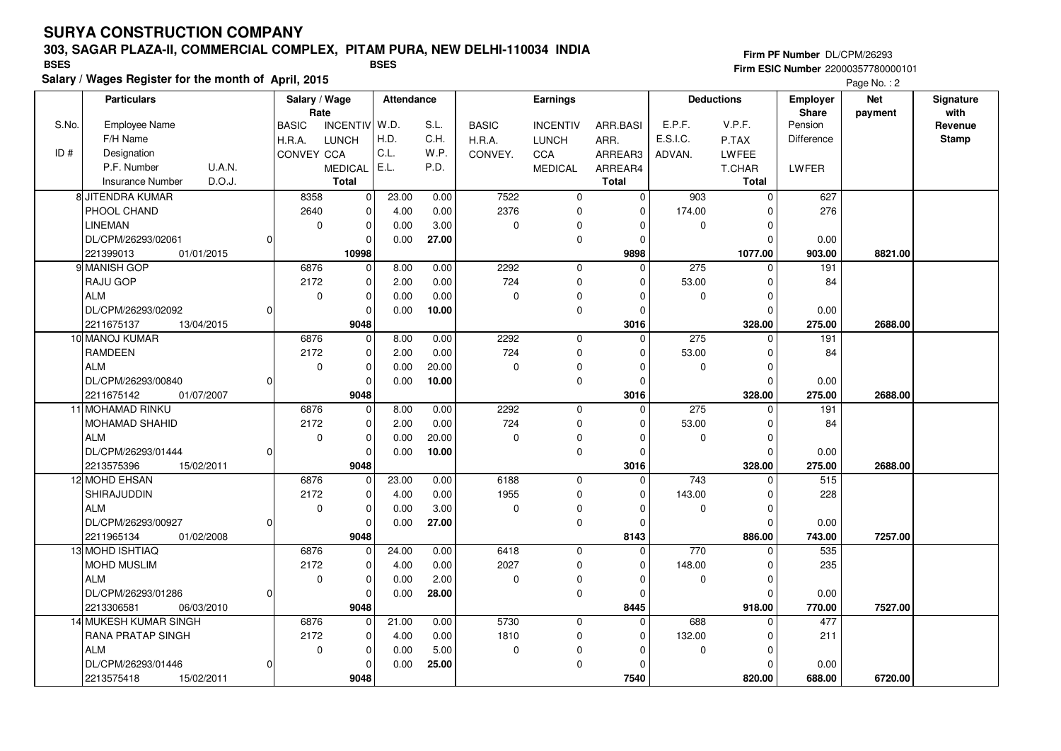### **303, SAGAR PLAZA-II, COMMERCIAL COMPLEX, PITAM PURA, NEW DELHI-110034 INDIA**

**Salary / Wages Register for the month of April, 2015**

**Firm PF Number** DL/CPM/26293 **Firm ESIC Number** 22000357780000101 **BSES BSES**

|       | <b>Particulars</b>                |   |                     | Salary / Wage<br>Rate      |              | <b>Attendance</b> | Earnings            |                 |                         | <b>Deductions</b>     |                    | <b>Employer</b><br><b>Share</b> | <b>Net</b> | Signature<br>with |
|-------|-----------------------------------|---|---------------------|----------------------------|--------------|-------------------|---------------------|-----------------|-------------------------|-----------------------|--------------------|---------------------------------|------------|-------------------|
| S.No. | Employee Name                     |   | <b>BASIC</b>        | INCENTIV W.D.              |              | S.L.              | <b>BASIC</b>        | <b>INCENTIV</b> | ARR.BASI                | E.P.F.                | V.P.F.             | Pension                         | payment    | Revenue           |
|       | F/H Name                          |   | H.R.A.              | <b>LUNCH</b>               | H.D.         | C.H.              | H.R.A.              | <b>LUNCH</b>    | ARR.                    | E.S.I.C.              | P.TAX              | Difference                      |            | <b>Stamp</b>      |
| ID#   | Designation                       |   | CONVEY CCA          |                            | C.L.         | W.P.              | CONVEY.             | CCA             | ARREAR3                 | ADVAN.                | LWFEE              |                                 |            |                   |
|       | P.F. Number<br>U.A.N.             |   |                     | <b>MEDICAL</b>             | E.L.         | P.D.              |                     | <b>MEDICAL</b>  | ARREAR4                 |                       | T.CHAR             | LWFER                           |            |                   |
|       | <b>Insurance Number</b><br>D.O.J. |   |                     | <b>Total</b>               |              |                   |                     |                 | <b>Total</b>            |                       | <b>Total</b>       |                                 |            |                   |
|       | 8 JITENDRA KUMAR                  |   | 8358                | $\mathbf 0$                | 23.00        | 0.00              | 7522                | $\mathbf 0$     | $\mathbf 0$             | 903                   | $\mathbf 0$        | 627                             |            |                   |
|       | PHOOL CHAND                       |   | 2640                | $\mathbf 0$                | 4.00         | 0.00              | 2376                | 0               | $\mathbf 0$             | 174.00                | 0                  | 276                             |            |                   |
|       | <b>LINEMAN</b>                    |   | $\mathbf 0$         | $\mathbf 0$                | 0.00         | 3.00              | $\mathbf 0$         | 0               | $\Omega$                | $\Omega$              | $\Omega$           |                                 |            |                   |
|       | DL/CPM/26293/02061                | 0 |                     | $\mathbf 0$                | 0.00         | 27.00             |                     | 0               | 0                       |                       | 0                  | 0.00                            |            |                   |
|       | 01/01/2015<br>221399013           |   |                     | 10998                      |              |                   |                     |                 | 9898                    |                       | 1077.00            | 903.00                          | 8821.00    |                   |
|       | 9 MANISH GOP                      |   | 6876                | $\mathbf 0$                | 8.00         | 0.00              | 2292                | $\mathbf 0$     | $\mathbf 0$             | 275                   | $\Omega$           | 191                             |            |                   |
|       | <b>RAJU GOP</b>                   |   | 2172                | $\mathbf 0$                | 2.00         | 0.00              | 724                 | 0               | $\mathbf 0$             | 53.00                 | $\Omega$           | 84                              |            |                   |
|       | <b>ALM</b>                        |   | $\mathbf 0$         | $\mathbf 0$                | 0.00         | 0.00              | $\mathbf 0$         | 0               | $\mathbf 0$             | $\mathbf 0$           | $\Omega$           |                                 |            |                   |
|       | DL/CPM/26293/02092                | 0 |                     | $\Omega$                   | 0.00         | 10.00             |                     | 0               | $\Omega$                |                       | $\Omega$           | 0.00                            |            |                   |
|       | 2211675137<br>13/04/2015          |   |                     | 9048                       |              |                   |                     |                 | 3016                    |                       | 328.00             | 275.00                          | 2688.00    |                   |
|       | 10 MANOJ KUMAR                    |   | 6876                | $\mathbf 0$                | 8.00         | 0.00              | 2292                | $\mathbf 0$     | $\mathbf 0$             | 275                   | $\mathbf 0$        | 191                             |            |                   |
|       | <b>RAMDEEN</b>                    |   | 2172                | $\mathbf 0$                | 2.00         | 0.00              | 724                 | 0               | $\mathbf 0$             | 53.00                 | $\Omega$           | 84                              |            |                   |
|       | <b>ALM</b>                        |   | $\mathbf 0$         | $\mathbf 0$                | 0.00         | 20.00             | $\Omega$            | 0               | $\Omega$                | $\Omega$              | $\Omega$           |                                 |            |                   |
|       | DL/CPM/26293/00840                | 0 |                     | $\mathbf 0$                | 0.00         | 10.00             |                     | 0               | $\mathbf 0$             |                       | $\Omega$           | 0.00                            |            |                   |
|       | 2211675142<br>01/07/2007          |   |                     | 9048                       |              |                   |                     |                 | 3016                    |                       | 328.00             | 275.00                          | 2688.00    |                   |
|       | 11 MOHAMAD RINKU                  |   | 6876                | $\mathbf 0$                | 8.00         | 0.00              | 2292                | $\mathbf 0$     | $\mathbf 0$             | 275                   | $\Omega$           | 191                             |            |                   |
|       | MOHAMAD SHAHID                    |   | 2172                | $\Omega$                   | 2.00         | 0.00              | 724                 | 0               | $\Omega$                | 53.00                 | $\Omega$           | 84                              |            |                   |
|       | <b>ALM</b>                        |   | $\mathbf 0$         | $\mathbf 0$                | 0.00         | 20.00             | $\mathbf 0$         | 0               | 0                       | $\Omega$              | $\Omega$           |                                 |            |                   |
|       | DL/CPM/26293/01444                | 0 |                     | $\mathbf 0$                | 0.00         | 10.00             |                     | 0               | $\mathbf 0$             |                       | 0                  | 0.00                            |            |                   |
|       | 2213575396<br>15/02/2011          |   |                     | 9048                       |              |                   |                     |                 | 3016                    |                       | 328.00             | 275.00                          | 2688.00    |                   |
|       | 12 MOHD EHSAN                     |   | 6876                | $\Omega$                   | 23.00        | 0.00              | 6188                | 0               | 0                       | 743                   | $\Omega$           | 515                             |            |                   |
|       | SHIRAJUDDIN                       |   | 2172                | $\Omega$                   | 4.00         | 0.00              | 1955                | $\mathbf 0$     | $\Omega$                | 143.00                | $\Omega$           | 228                             |            |                   |
|       | <b>ALM</b>                        |   | $\mathbf 0$         | $\mathbf 0$                | 0.00         | 3.00              | 0                   | 0               | 0                       | 0                     | 0                  |                                 |            |                   |
|       | DL/CPM/26293/00927                | 0 |                     | $\Omega$                   | 0.00         | 27.00             |                     | 0               | 0                       |                       | 0                  | 0.00                            |            |                   |
|       | 2211965134<br>01/02/2008          |   |                     | 9048<br>$\Omega$           |              |                   | 6418                |                 | 8143                    | 770                   | 886.00<br>$\Omega$ | 743.00<br>535                   | 7257.00    |                   |
|       | 13 MOHD ISHTIAQ                   |   | 6876                |                            | 24.00        | 0.00              |                     | $\mathbf 0$     | $\mathbf 0$             |                       |                    |                                 |            |                   |
|       | <b>MOHD MUSLIM</b><br><b>ALM</b>  |   | 2172<br>$\mathbf 0$ | $\mathbf 0$<br>$\mathbf 0$ | 4.00         | 0.00<br>2.00      | 2027<br>$\mathbf 0$ | 0<br>0          | $\mathbf 0$<br>$\Omega$ | 148.00<br>$\mathbf 0$ | 0<br>$\Omega$      | 235                             |            |                   |
|       | DL/CPM/26293/01286                | 0 |                     | $\Omega$                   | 0.00<br>0.00 | 28.00             |                     | 0               | $\mathbf 0$             |                       | $\Omega$           | 0.00                            |            |                   |
|       | 2213306581<br>06/03/2010          |   |                     | 9048                       |              |                   |                     |                 | 8445                    |                       | 918.00             | 770.00                          | 7527.00    |                   |
|       | 14 MUKESH KUMAR SINGH             |   | 6876                | $\mathbf{0}$               | 21.00        | 0.00              | 5730                | $\mathbf 0$     | $\mathbf 0$             | 688                   | $\Omega$           | 477                             |            |                   |
|       | <b>RANA PRATAP SINGH</b>          |   | 2172                | $\mathbf 0$                | 4.00         | 0.00              | 1810                | 0               | $\mathbf 0$             | 132.00                | 0                  | 211                             |            |                   |
|       | <b>ALM</b>                        |   | $\mathbf 0$         | $\mathbf 0$                | 0.00         | 5.00              | $\Omega$            | 0               | $\mathbf 0$             | $\mathbf{0}$          | $\Omega$           |                                 |            |                   |
|       | DL/CPM/26293/01446                | 0 |                     | $\Omega$                   | 0.00         | 25.00             |                     | 0               | $\Omega$                |                       | $\Omega$           | 0.00                            |            |                   |
|       | 2213575418<br>15/02/2011          |   |                     | 9048                       |              |                   |                     |                 | 7540                    |                       | 820.00             | 688.00                          | 6720.00    |                   |
|       |                                   |   |                     |                            |              |                   |                     |                 |                         |                       |                    |                                 |            |                   |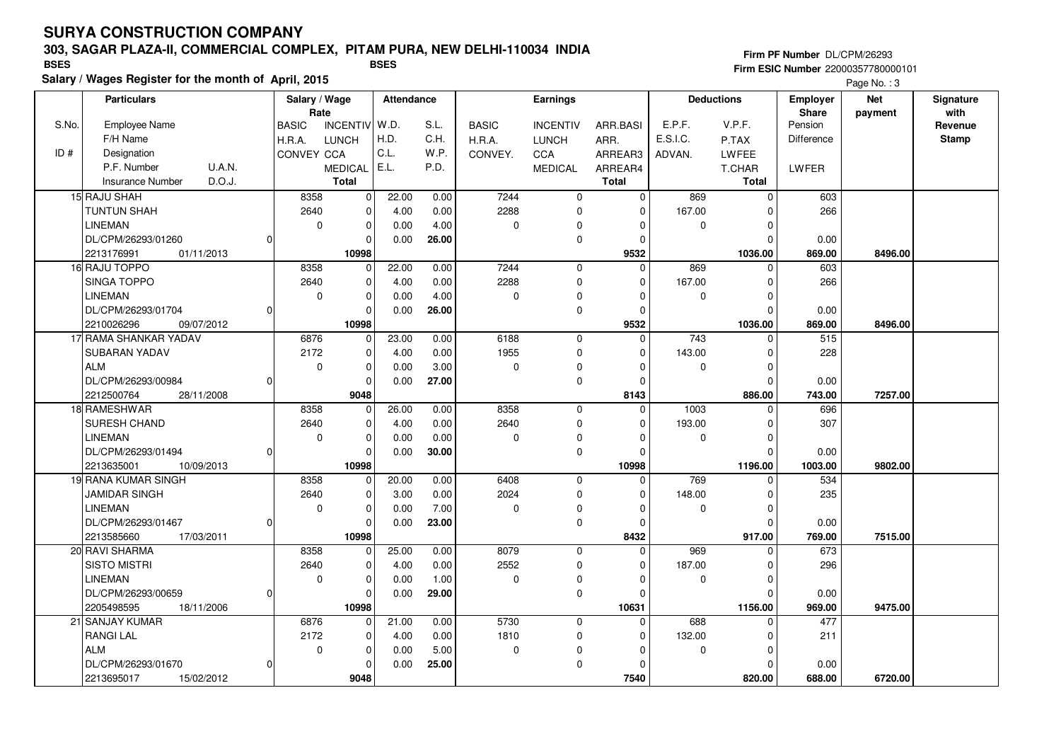### **303, SAGAR PLAZA-II, COMMERCIAL COMPLEX, PITAM PURA, NEW DELHI-110034 INDIA**

**Salary / Wages Register for the month of April, 2015**

#### **Firm PF Number** DL/CPM/26293 **Firm ESIC Number** 22000357780000101 **BSES BSES**

|       | <b>Particulars</b>                |   |              | Salary / Wage<br>Rate |       | <b>Attendance</b> | <b>Earnings</b> |                 |                  | <b>Deductions</b> |              | Employer<br>Share | <b>Net</b><br>payment | Signature<br>with |
|-------|-----------------------------------|---|--------------|-----------------------|-------|-------------------|-----------------|-----------------|------------------|-------------------|--------------|-------------------|-----------------------|-------------------|
| S.No. | <b>Employee Name</b>              |   | <b>BASIC</b> | INCENTIV W.D.         |       | S.L.              | <b>BASIC</b>    | <b>INCENTIV</b> | ARR.BASI         | E.P.F.            | V.P.F.       | Pension           |                       | Revenue           |
|       | F/H Name                          |   | H.R.A.       | <b>LUNCH</b>          | H.D.  | C.H.              | H.R.A.          | <b>LUNCH</b>    | ARR.             | E.S.I.C.          | P.TAX        | <b>Difference</b> |                       | <b>Stamp</b>      |
| ID#   | Designation                       |   | CONVEY CCA   |                       | C.L.  | W.P.              | CONVEY.         | CCA             | ARREAR3          | ADVAN.            | LWFEE        |                   |                       |                   |
|       | <b>U.A.N.</b><br>P.F. Number      |   |              | <b>MEDICAL</b>        | E.L.  | P.D.              |                 | <b>MEDICAL</b>  | ARREAR4          |                   | T.CHAR       | LWFER             |                       |                   |
|       | D.O.J.<br><b>Insurance Number</b> |   |              | <b>Total</b>          |       |                   |                 |                 | <b>Total</b>     |                   | <b>Total</b> |                   |                       |                   |
|       | 15 RAJU SHAH                      |   | 8358         | $\mathbf 0$           | 22.00 | 0.00              | 7244            | 0               | $\mathbf 0$      | 869               | $\Omega$     | 603               |                       |                   |
|       | <b>TUNTUN SHAH</b>                |   | 2640         | $\Omega$              | 4.00  | 0.00              | 2288            | 0               | $\Omega$         | 167.00            | n            | 266               |                       |                   |
|       | <b>LINEMAN</b>                    |   | $\mathbf 0$  | $\mathbf 0$           | 0.00  | 4.00              | $\mathbf 0$     | 0               | $\Omega$         | $\mathbf 0$       | $\Omega$     |                   |                       |                   |
|       | DL/CPM/26293/01260                | 0 |              | $\Omega$              | 0.00  | 26.00             |                 | 0               | $\Omega$         |                   | O            | 0.00              |                       |                   |
|       | 2213176991<br>01/11/2013          |   |              | 10998                 |       |                   |                 |                 | 9532             |                   | 1036.00      | 869.00            | 8496.00               |                   |
|       | 16 RAJU TOPPO                     |   | 8358         | 0                     | 22.00 | 0.00              | 7244            | 0               | $\mathbf 0$      | 869               | ŋ            | 603               |                       |                   |
|       | SINGA TOPPO                       |   | 2640         | $\mathbf 0$           | 4.00  | 0.00              | 2288            | $\mathbf 0$     | $\Omega$         | 167.00            | <sup>0</sup> | 266               |                       |                   |
|       | <b>LINEMAN</b>                    |   | $\mathbf 0$  | $\mathbf 0$           | 0.00  | 4.00              | $\Omega$        | $\mathbf 0$     | $\Omega$         | $\mathbf 0$       | O            |                   |                       |                   |
|       | DL/CPM/26293/01704                | 0 |              | $\Omega$              | 0.00  | 26.00             |                 | 0               | $\Omega$         |                   | $\Omega$     | 0.00              |                       |                   |
|       | 2210026296<br>09/07/2012          |   |              | 10998                 |       |                   |                 |                 | 9532             |                   | 1036.00      | 869.00            | 8496.00               |                   |
|       | 17 RAMA SHANKAR YADAV             |   | 6876         | $\mathbf 0$           | 23.00 | 0.00              | 6188            | $\mathbf 0$     | $\mathbf 0$      | 743               | <sup>0</sup> | 515               |                       |                   |
|       | <b>SUBARAN YADAV</b>              |   | 2172         | $\mathbf 0$           | 4.00  | 0.00              | 1955            | 0               | $\Omega$         | 143.00            |              | 228               |                       |                   |
|       | <b>ALM</b>                        |   | $\mathbf 0$  | $\mathbf 0$           | 0.00  | 3.00              | $\mathbf 0$     | 0               | $\Omega$         | $\mathbf 0$       | $\Omega$     |                   |                       |                   |
|       | DL/CPM/26293/00984                | 0 |              | $\mathbf 0$           | 0.00  | 27.00             |                 | 0               | $\Omega$         |                   |              | 0.00              |                       |                   |
|       | 2212500764<br>28/11/2008          |   |              | 9048                  |       |                   |                 |                 | 8143             |                   | 886.00       | 743.00            | 7257.00               |                   |
|       | 18 RAMESHWAR                      |   | 8358         | $\mathbf 0$           | 26.00 | 0.00              | 8358            | $\mathbf 0$     | $\Omega$         | 1003              |              | 696               |                       |                   |
|       | SURESH CHAND                      |   | 2640         | $\mathbf 0$           | 4.00  | 0.00              | 2640            | 0               | $\Omega$         | 193.00            | $\Omega$     | 307               |                       |                   |
|       | <b>LINEMAN</b>                    |   | $\Omega$     | $\mathbf 0$           | 0.00  | 0.00              | $\Omega$        | 0               |                  | $\mathbf 0$       |              |                   |                       |                   |
|       | DL/CPM/26293/01494                | 0 |              | $\Omega$              | 0.00  | 30.00             |                 | 0               | $\Omega$         |                   | O            | 0.00              |                       |                   |
|       | 2213635001<br>10/09/2013          |   |              | 10998                 |       |                   |                 |                 | 10998            |                   | 1196.00      | 1003.00           | 9802.00               |                   |
|       | 19 RANA KUMAR SINGH               |   | 8358         | $\Omega$              | 20.00 | 0.00              | 6408            | 0               | $\Omega$         | 769               |              | 534               |                       |                   |
|       | <b>JAMIDAR SINGH</b>              |   | 2640         | $\Omega$              | 3.00  | 0.00              | 2024            | $\Omega$        | $\Omega$         | 148.00            |              | 235               |                       |                   |
|       | <b>LINEMAN</b>                    |   | $\mathbf 0$  | $\mathbf 0$           | 0.00  | 7.00              | $\mathbf 0$     | 0               | $\Omega$         | $\mathbf 0$       | $\Omega$     |                   |                       |                   |
|       | DL/CPM/26293/01467                | 0 |              | $\mathbf 0$           | 0.00  | 23.00             |                 | 0               | $\Omega$         |                   | $\Omega$     | 0.00              |                       |                   |
|       | 2213585660<br>17/03/2011          |   |              | 10998                 |       |                   |                 |                 | 8432             |                   | 917.00       | 769.00            | 7515.00               |                   |
|       | 20 RAVI SHARMA                    |   | 8358         | $\mathbf 0$           | 25.00 | 0.00              | 8079            | $\mathbf 0$     | $\Omega$         | 969               |              | 673               |                       |                   |
|       | <b>SISTO MISTRI</b>               |   | 2640         | $\mathbf 0$           | 4.00  | 0.00              | 2552            | 0               | $\Omega$         | 187.00            | $\Omega$     | 296               |                       |                   |
|       | <b>LINEMAN</b>                    |   | $\mathbf 0$  | $\mathbf 0$           | 0.00  | 1.00              | $\mathbf 0$     | 0               | 0                | $\mathbf 0$       | O            |                   |                       |                   |
|       | DL/CPM/26293/00659                | 0 |              | $\Omega$              | 0.00  | 29.00             |                 | 0               | $\Omega$         |                   |              | 0.00              |                       |                   |
|       | 2205498595<br>18/11/2006          |   |              | 10998                 |       |                   |                 |                 | 10631            |                   | 1156.00      | 969.00            | 9475.00               |                   |
|       | 21 SANJAY KUMAR                   |   | 6876         | $\mathbf 0$           | 21.00 | 0.00              | 5730<br>1810    | $\mathbf 0$     | $\Omega$         | 688               | $\Omega$     | 477               |                       |                   |
|       | <b>RANGILAL</b><br><b>ALM</b>     |   | 2172         | $\mathbf 0$           | 4.00  | 0.00              | $\Omega$        | 0               | $\Omega$         | 132.00            | O            | 211               |                       |                   |
|       |                                   |   | $\mathbf 0$  | $\mathbf 0$           | 0.00  | 5.00              |                 | 0               |                  | $\mathbf 0$       |              |                   |                       |                   |
|       | DL/CPM/26293/01670                | 0 |              | $\mathbf 0$<br>9048   | 0.00  | 25.00             |                 | 0               | $\Omega$<br>7540 |                   |              | 0.00<br>688.00    | 6720.00               |                   |
|       | 15/02/2012<br>2213695017          |   |              |                       |       |                   |                 |                 |                  |                   | 820.00       |                   |                       |                   |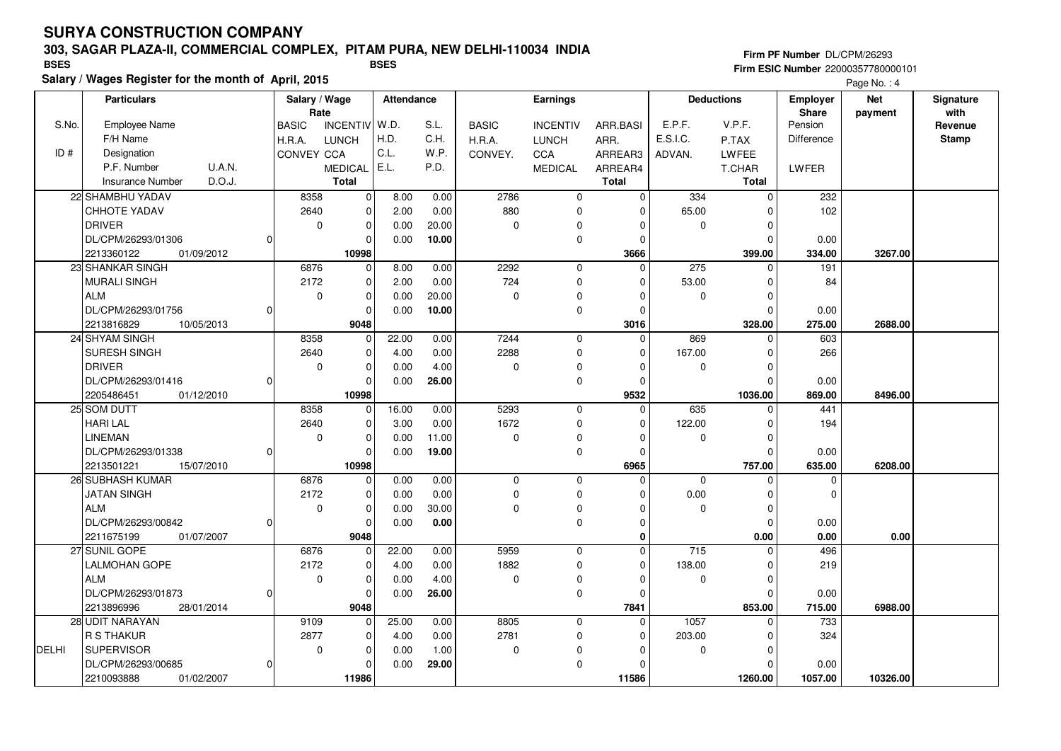### **303, SAGAR PLAZA-II, COMMERCIAL COMPLEX, PITAM PURA, NEW DELHI-110034 INDIA**

**Salary / Wages Register for the month of April, 2015**

#### **Firm PF Number** DL/CPM/26293 **Firm ESIC Number** 22000357780000101 **BSES BSES**

|       | <b>Particulars</b>                |   | Salary / Wage<br>Rate |                | Attendance |       |              | Earnings        |              |          | <b>Deductions</b> | Employer<br>Share | <b>Net</b> | Signature<br>with |
|-------|-----------------------------------|---|-----------------------|----------------|------------|-------|--------------|-----------------|--------------|----------|-------------------|-------------------|------------|-------------------|
| S.No. | <b>Employee Name</b>              |   | <b>BASIC</b>          | INCENTIV W.D.  |            | S.L.  | <b>BASIC</b> | <b>INCENTIV</b> | ARR.BASI     | E.P.F.   | V.P.F.            | Pension           | payment    | Revenue           |
|       | F/H Name                          |   | H.R.A.                | <b>LUNCH</b>   | H.D.       | C.H.  | H.R.A.       | <b>LUNCH</b>    | ARR.         | E.S.I.C. | P.TAX             | Difference        |            | <b>Stamp</b>      |
| ID#   | Designation                       |   | CONVEY CCA            |                | C.L.       | W.P.  | CONVEY.      | CCA             | ARREAR3      | ADVAN.   | <b>LWFEE</b>      |                   |            |                   |
|       | <b>U.A.N.</b><br>P.F. Number      |   |                       | <b>MEDICAL</b> | E.L.       | P.D.  |              | <b>MEDICAL</b>  | ARREAR4      |          | T.CHAR            | LWFER             |            |                   |
|       | D.O.J.<br><b>Insurance Number</b> |   |                       | <b>Total</b>   |            |       |              |                 | <b>Total</b> |          | <b>Total</b>      |                   |            |                   |
|       | 22 SHAMBHU YADAV                  |   | 8358                  | $\mathbf 0$    | 8.00       | 0.00  | 2786         | $\mathbf 0$     | $\Omega$     | 334      | $\Omega$          | 232               |            |                   |
|       | <b>CHHOTE YADAV</b>               |   | 2640                  | $\mathbf 0$    | 2.00       | 0.00  | 880          | 0               | $\Omega$     | 65.00    | O                 | 102               |            |                   |
|       | <b>DRIVER</b>                     |   | 0                     | $\mathbf 0$    | 0.00       | 20.00 | $\mathbf 0$  | 0               |              | 0        | $\Omega$          |                   |            |                   |
|       | DL/CPM/26293/01306                | n |                       | $\mathbf 0$    | 0.00       | 10.00 |              | $\mathbf 0$     | $\Omega$     |          | O                 | 0.00              |            |                   |
|       | 01/09/2012<br>2213360122          |   |                       | 10998          |            |       |              |                 | 3666         |          | 399.00            | 334.00            | 3267.00    |                   |
|       | 23 SHANKAR SINGH                  |   | 6876                  | $\mathbf 0$    | 8.00       | 0.00  | 2292         | $\mathbf 0$     | $\Omega$     | 275      | $\Omega$          | 191               |            |                   |
|       | <b>MURALI SINGH</b>               |   | 2172                  | $\mathbf 0$    | 2.00       | 0.00  | 724          | 0               | $\Omega$     | 53.00    | $\Omega$          | 84                |            |                   |
|       | <b>ALM</b>                        |   | $\mathbf 0$           | $\mathbf 0$    | 0.00       | 20.00 | $\mathbf 0$  | 0               | $\Omega$     | 0        | 0                 |                   |            |                   |
|       | DL/CPM/26293/01756                |   |                       | $\Omega$       | 0.00       | 10.00 |              | 0               | $\Omega$     |          | $\Omega$          | 0.00              |            |                   |
|       | 2213816829<br>10/05/2013          |   |                       | 9048           |            |       |              |                 | 3016         |          | 328.00            | 275.00            | 2688.00    |                   |
|       | 24 SHYAM SINGH                    |   | 8358                  | $\mathbf 0$    | 22.00      | 0.00  | 7244         | $\mathbf 0$     | $\Omega$     | 869      | $\Omega$          | 603               |            |                   |
|       | <b>SURESH SINGH</b>               |   | 2640                  | $\mathbf 0$    | 4.00       | 0.00  | 2288         | $\mathbf 0$     | $\Omega$     | 167.00   |                   | 266               |            |                   |
|       | DRIVER                            |   | $\Omega$              | $\mathbf 0$    | 0.00       | 4.00  | $\mathbf 0$  | 0               | $\Omega$     | 0        | $\Omega$          |                   |            |                   |
|       | DL/CPM/26293/01416                | O |                       | $\Omega$       | 0.00       | 26.00 |              | $\mathbf 0$     | $\Omega$     |          |                   | 0.00              |            |                   |
|       | 2205486451<br>01/12/2010          |   |                       | 10998          |            |       |              |                 | 9532         |          | 1036.00           | 869.00            | 8496.00    |                   |
|       | 25 SOM DUTT                       |   | 8358                  | $\mathbf 0$    | 16.00      | 0.00  | 5293         | $\mathbf 0$     | $\Omega$     | 635      | $\Omega$          | 441               |            |                   |
|       | <b>HARILAL</b>                    |   | 2640                  | $\mathbf 0$    | 3.00       | 0.00  | 1672         | 0               | $\Omega$     | 122.00   | $\Omega$          | 194               |            |                   |
|       | LINEMAN                           |   | $\mathbf 0$           | $\mathbf 0$    | 0.00       | 11.00 | $\Omega$     | 0               | <sup>0</sup> | 0        | ſ                 |                   |            |                   |
|       | DL/CPM/26293/01338                |   |                       | $\mathbf 0$    | 0.00       | 19.00 |              | 0               | <sup>0</sup> |          | n                 | 0.00              |            |                   |
|       | 2213501221<br>15/07/2010          |   |                       | 10998          |            |       |              |                 | 6965         |          | 757.00            | 635.00            | 6208.00    |                   |
|       | 26 SUBHASH KUMAR                  |   | 6876                  | $\mathbf 0$    | 0.00       | 0.00  | 0            | 0               | $\Omega$     | $\Omega$ |                   | $\mathbf 0$       |            |                   |
|       | <b>JATAN SINGH</b>                |   | 2172                  | $\mathbf 0$    | 0.00       | 0.00  | $\Omega$     | $\mathbf 0$     |              | 0.00     |                   | $\Omega$          |            |                   |
|       | <b>ALM</b>                        |   | 0                     | $\mathbf 0$    | 0.00       | 30.00 | $\Omega$     | 0               | <sup>0</sup> | 0        | 0                 |                   |            |                   |
|       | DL/CPM/26293/00842                | 0 |                       | $\mathbf 0$    | 0.00       | 0.00  |              | $\pmb{0}$       | $\Omega$     |          | $\Omega$          | 0.00              |            |                   |
|       | 2211675199<br>01/07/2007          |   |                       | 9048           |            |       |              |                 | O            |          | 0.00              | 0.00              | 0.00       |                   |
|       | 27 SUNIL GOPE                     |   | 6876                  | $\mathbf 0$    | 22.00      | 0.00  | 5959         | $\mathbf 0$     | $\Omega$     | 715      |                   | 496               |            |                   |
|       | <b>LALMOHAN GOPE</b>              |   | 2172                  | $\mathbf 0$    | 4.00       | 0.00  | 1882         | 0               | $\Omega$     | 138.00   | $\Omega$          | 219               |            |                   |
|       | <b>ALM</b>                        |   | $\mathbf 0$           | $\mathbf 0$    | 0.00       | 4.00  | $\mathbf 0$  | 0               | $\Omega$     | 0        | 0                 |                   |            |                   |
|       | DL/CPM/26293/01873                | n |                       | $\mathbf 0$    | 0.00       | 26.00 |              | 0               | $\Omega$     |          | $\cap$            | 0.00              |            |                   |
|       | 2213896996<br>28/01/2014          |   |                       | 9048           |            |       |              |                 | 7841         |          | 853.00            | 715.00            | 6988.00    |                   |
|       | 28 UDIT NARAYAN                   |   | 9109                  | $\mathbf 0$    | 25.00      | 0.00  | 8805         | $\mathbf 0$     | $\Omega$     | 1057     | $\Omega$          | 733               |            |                   |
|       | R S THAKUR                        |   | 2877                  | $\mathbf 0$    | 4.00       | 0.00  | 2781         | 0               | $\Omega$     | 203.00   | $\Omega$          | 324               |            |                   |
| DELHI | <b>SUPERVISOR</b>                 |   | $\mathbf 0$           | $\mathbf 0$    | 0.00       | 1.00  | $\Omega$     | 0               |              | 0        | $\Omega$          |                   |            |                   |
|       | DL/CPM/26293/00685                | O |                       | $\mathbf 0$    | 0.00       | 29.00 |              | 0               | $\Omega$     |          | O                 | 0.00              |            |                   |
|       | 2210093888<br>01/02/2007          |   |                       | 11986          |            |       |              |                 | 11586        |          | 1260.00           | 1057.00           | 10326.00   |                   |